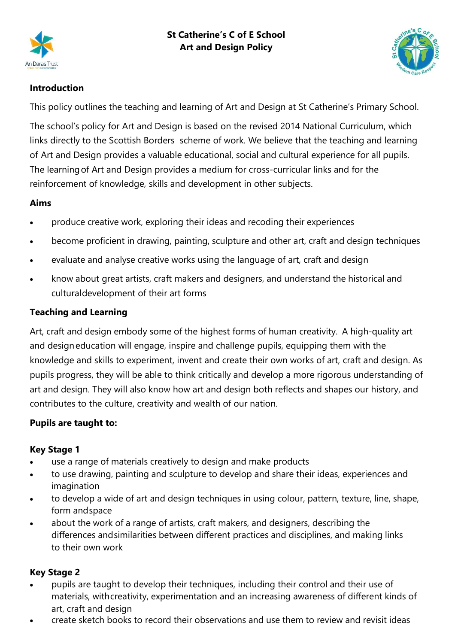



# **Introduction**

This policy outlines the teaching and learning of Art and Design at St Catherine's Primary School.

The school's policy for Art and Design is based on the revised 2014 National Curriculum, which links directly to the Scottish Borders scheme of work. We believe that the teaching and learning of Art and Design provides a valuable educational, social and cultural experience for all pupils. The learningof Art and Design provides a medium for cross-curricular links and for the reinforcement of knowledge, skills and development in other subjects.

# **Aims**

- produce creative work, exploring their ideas and recoding their experiences
- become proficient in drawing, painting, sculpture and other art, craft and design techniques
- evaluate and analyse creative works using the language of art, craft and design
- know about great artists, craft makers and designers, and understand the historical and culturaldevelopment of their art forms

#### **Teaching and Learning**

Art, craft and design embody some of the highest forms of human creativity. A high-quality art and designeducation will engage, inspire and challenge pupils, equipping them with the knowledge and skills to experiment, invent and create their own works of art, craft and design. As pupils progress, they will be able to think critically and develop a more rigorous understanding of art and design. They will also know how art and design both reflects and shapes our history, and contributes to the culture, creativity and wealth of our nation.

# **Pupils are taught to:**

#### **Key Stage 1**

- use a range of materials creatively to design and make products
- to use drawing, painting and sculpture to develop and share their ideas, experiences and imagination
- to develop a wide of art and design techniques in using colour, pattern, texture, line, shape, form andspace
- about the work of a range of artists, craft makers, and designers, describing the differences andsimilarities between different practices and disciplines, and making links to their own work

# **Key Stage 2**

- pupils are taught to develop their techniques, including their control and their use of materials, withcreativity, experimentation and an increasing awareness of different kinds of art, craft and design
- create sketch books to record their observations and use them to review and revisit ideas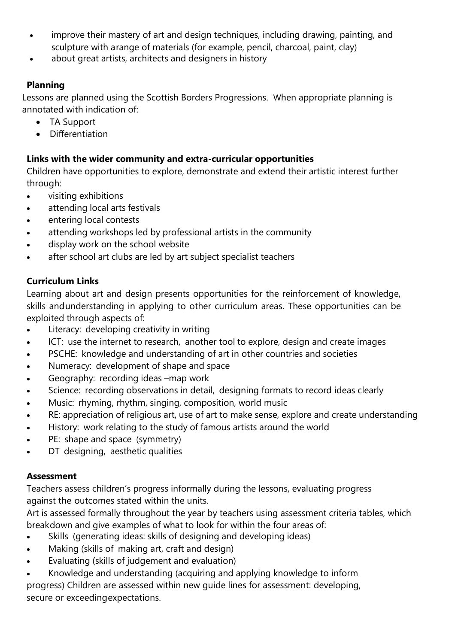- improve their mastery of art and design techniques, including drawing, painting, and sculpture with arange of materials (for example, pencil, charcoal, paint, clay)
- about great artists, architects and designers in history

### **Planning**

Lessons are planned using the Scottish Borders Progressions. When appropriate planning is annotated with indication of:

- TA Support
- Differentiation

### **Links with the wider community and extra-curricular opportunities**

Children have opportunities to explore, demonstrate and extend their artistic interest further through:

- visiting exhibitions
- attending local arts festivals
- entering local contests
- attending workshops led by professional artists in the community
- display work on the school website
- after school art clubs are led by art subject specialist teachers

# **Curriculum Links**

Learning about art and design presents opportunities for the reinforcement of knowledge, skills andunderstanding in applying to other curriculum areas. These opportunities can be exploited through aspects of:

- Literacy: developing creativity in writing
- ICT: use the internet to research, another tool to explore, design and create images
- PSCHE: knowledge and understanding of art in other countries and societies
- Numeracy: development of shape and space
- Geography: recording ideas –map work
- Science: recording observations in detail, designing formats to record ideas clearly
- Music: rhyming, rhythm, singing, composition, world music
- RE: appreciation of religious art, use of art to make sense, explore and create understanding
- History: work relating to the study of famous artists around the world
- PE: shape and space (symmetry)
- DT designing, aesthetic qualities

# **Assessment**

Teachers assess children's progress informally during the lessons, evaluating progress against the outcomes stated within the units.

Art is assessed formally throughout the year by teachers using assessment criteria tables, which breakdown and give examples of what to look for within the four areas of:

- Skills (generating ideas: skills of designing and developing ideas)
- Making (skills of making art, craft and design)
- Evaluating (skills of judgement and evaluation)
- Knowledge and understanding (acquiring and applying knowledge to inform progress) Children are assessed within new guide lines for assessment: developing, secure or exceedingexpectations.